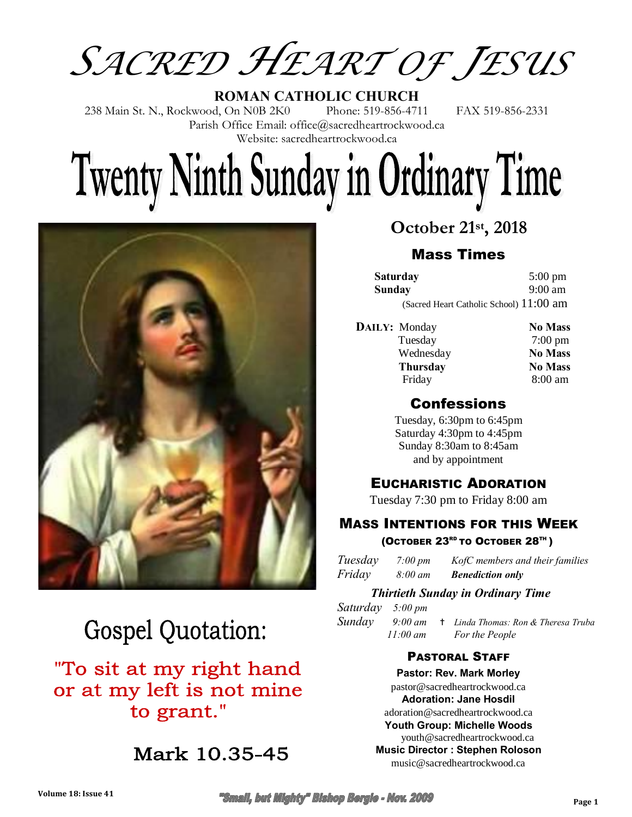*SACRED HEART OF JESUS* 

**ROMAN CATHOLIC CHURCH** 238 Main St. N., Rockwood, On N0B 2K0 Phone: 519-856-4711 FAX 519-856-2331 Parish Office Email: office@sacredheartrockwood.ca Website: sacredheartrockwood.ca

# **Twenty Ninth Sunday in Ordinary Time**



# **Gospel Quotation:**

## "To sit at my right hand or at my left is not mine to grant."

Mark 10.35-45

#### **October 21st, 2018**

#### Mass Times

| Saturday                                | $5:00 \text{ pm}$ |
|-----------------------------------------|-------------------|
| Sunday                                  | $9:00 \text{ am}$ |
| (Sacred Heart Catholic School) 11:00 am |                   |

| <b>DAILY:</b> Monday | <b>No Mass</b>    |
|----------------------|-------------------|
| Tuesday              | $7:00 \text{ pm}$ |
| Wednesday            | <b>No Mass</b>    |
| <b>Thursday</b>      | <b>No Mass</b>    |
| Friday               | $8:00$ am         |

#### Confessions

Tuesday, 6:30pm to 6:45pm Saturday 4:30pm to 4:45pm Sunday 8:30am to 8:45am and by appointment

#### EUCHARISTIC ADORATION

Tuesday 7:30 pm to Friday 8:00 am

#### MASS INTENTIONS FOR THIS WEEK (OCTOBER 23<sup>RD</sup> TO OCTOBER 28<sup>TH</sup>)

| Tuesday | $7:00 \, \text{pm}$ | KofC members and their families |
|---------|---------------------|---------------------------------|
| Friday  | $8:00 \text{ }$ am  | <b>Benediction only</b>         |

#### *Thirtieth Sunday in Ordinary Time*

*Saturday 5:00 pm Sunday 9:00 am* ✝*Linda Thomas: Ron & Theresa Truba 11:00 am For the People* 

#### PASTORAL STAFF

**Pastor: Rev. Mark Morley** pastor@sacredheartrockwood.ca **Adoration: Jane Hosdil** adoration@sacredheartrockwood.ca **Youth Group: Michelle Woods** youth@sacredheartrockwood.ca **Music Director : Stephen Roloson** music@sacredheartrockwood.ca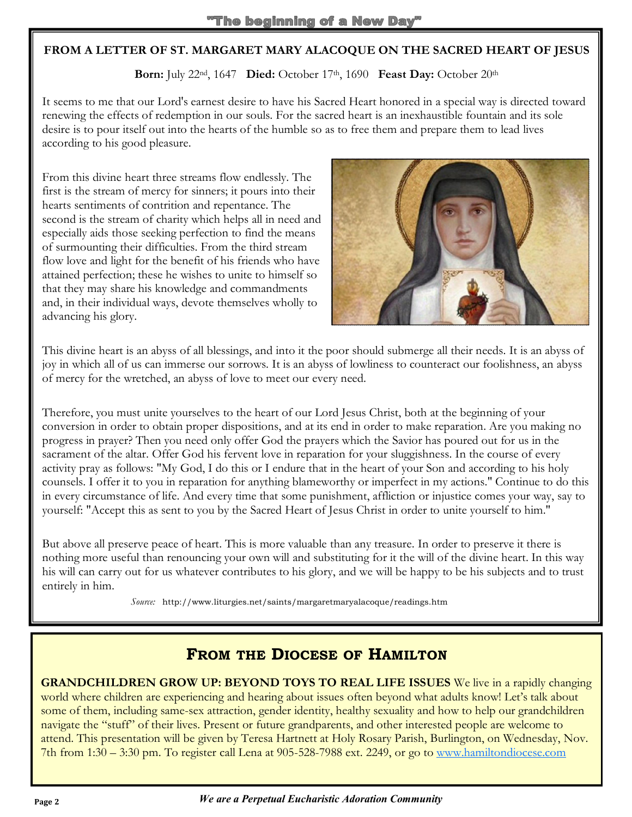#### **FROM A LETTER OF ST. MARGARET MARY ALACOQUE ON THE SACRED HEART OF JESUS**

**Born:** July 22nd, 1647 **Died:** October 17th, 1690 **Feast Day:** October 20th

It seems to me that our Lord's earnest desire to have his Sacred Heart honored in a special way is directed toward renewing the effects of redemption in our souls. For the sacred heart is an inexhaustible fountain and its sole desire is to pour itself out into the hearts of the humble so as to free them and prepare them to lead lives according to his good pleasure.

From this divine heart three streams flow endlessly. The first is the stream of mercy for sinners; it pours into their hearts sentiments of contrition and repentance. The second is the stream of charity which helps all in need and especially aids those seeking perfection to find the means of surmounting their difficulties. From the third stream flow love and light for the benefit of his friends who have attained perfection; these he wishes to unite to himself so that they may share his knowledge and commandments and, in their individual ways, devote themselves wholly to advancing his glory.



This divine heart is an abyss of all blessings, and into it the poor should submerge all their needs. It is an abyss of joy in which all of us can immerse our sorrows. It is an abyss of lowliness to counteract our foolishness, an abyss of mercy for the wretched, an abyss of love to meet our every need.

Therefore, you must unite yourselves to the heart of our Lord Jesus Christ, both at the beginning of your conversion in order to obtain proper dispositions, and at its end in order to make reparation. Are you making no progress in prayer? Then you need only offer God the prayers which the Savior has poured out for us in the sacrament of the altar. Offer God his fervent love in reparation for your sluggishness. In the course of every activity pray as follows: "My God, I do this or I endure that in the heart of your Son and according to his holy counsels. I offer it to you in reparation for anything blameworthy or imperfect in my actions." Continue to do this in every circumstance of life. And every time that some punishment, affliction or injustice comes your way, say to yourself: "Accept this as sent to you by the Sacred Heart of Jesus Christ in order to unite yourself to him."

But above all preserve peace of heart. This is more valuable than any treasure. In order to preserve it there is nothing more useful than renouncing your own will and substituting for it the will of the divine heart. In this way his will can carry out for us whatever contributes to his glory, and we will be happy to be his subjects and to trust entirely in him.

 *Source:* http://www.liturgies.net/saints/margaretmaryalacoque/readings.htm

#### **FROM THE DIOCESE OF HAMILTON**

**GRANDCHILDREN GROW UP: BEYOND TOYS TO REAL LIFE ISSUES** We live in a rapidly changing world where children are experiencing and hearing about issues often beyond what adults know! Let's talk about some of them, including same-sex attraction, gender identity, healthy sexuality and how to help our grandchildren navigate the "stuff" of their lives. Present or future grandparents, and other interested people are welcome to attend. This presentation will be given by Teresa Hartnett at Holy Rosary Parish, Burlington, on Wednesday, Nov. 7th from 1:30 – 3:30 pm. To register call Lena at 905-528-7988 ext. 2249, or go to www.hamiltondiocese.com